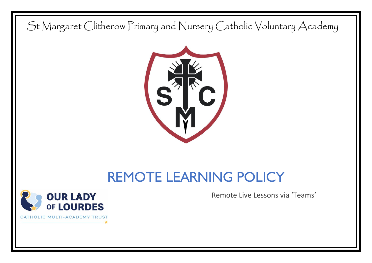St Margaret Clitherow Primary and Nursery Catholic Voluntary Academy



# REMOTE LEARNING POLICY



Remote Live Lessons via 'Teams'

CATHOLIC MULTI-ACADEMY TRU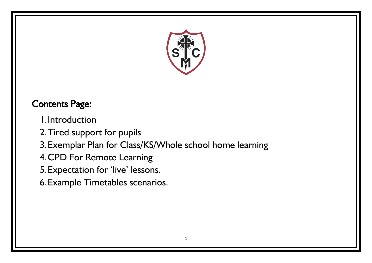

# Contents Page:

- 1.Introduction
- 2.Tired support for pupils
- 3.Exemplar Plan for Class/KS/Whole school home learning
- 4.CPD For Remote Learning
- 5.Expectation for 'live' lessons.
- 6.Example Timetables scenarios.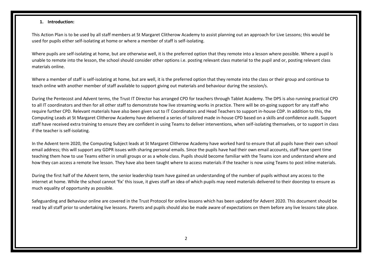#### **1. Introduction:**

This Action Plan is to be used by all staff members at St Margaret Clitherow Academy to assist planning out an approach for Live Lessons; this would be used for pupils either self-isolating at home or where a member of staff is self-isolating.

Where pupils are self-isolating at home, but are otherwise well, it is the preferred option that they remote into a lesson where possible. Where a pupil is unable to remote into the lesson, the school should consider other options i.e. posting relevant class material to the pupil and or, posting relevant class materials online.

Where a member of staff is self-isolating at home, but are well, it is the preferred option that they remote into the class or their group and continue to teach online with another member of staff available to support giving out materials and behaviour during the session/s.

During the Pentecost and Advent terms, the Trust IT Director has arranged CPD for teachers through Tablet Academy. The DPS is also running practical CPD to all IT coordinators and then for all other staff to demonstrate how live streaming works in practice. There will be on-going support for any staff who require further CPD. Relevant materials have also been given out to IT Coordinators and Head Teachers to support in-house CDP. In addition to this, the Computing Leads at St Margaret Clitherow Academy have delivered a series of tailored made in-house CPD based on a skills and confidence audit. Support staff have received extra training to ensure they are confident in using Teams to deliver interventions, when self-isolating themselves, or to support in class if the teacher is self-isolating.

In the Advent term 2020, the Computing Subject leads at St Margaret Clitherow Academy have worked hard to ensure that all pupils have their own school email address; this will support any GDPR issues with sharing personal emails. Since the pupils have had their own email accounts, staff have spent time teaching them how to use Teams either in small groups or as a whole class. Pupils should become familiar with the Teams icon and understand where and how they can access a remote live lesson. They have also been taught where to access materials if the teacher is now using Teams to post inline materials.

During the first half of the Advent term, the senior leadership team have gained an understanding of the number of pupils without any access to the internet at home. While the school cannot 'fix' this issue, it gives staff an idea of which pupils may need materials delivered to their doorstep to ensure as much equality of opportunity as possible.

Safeguarding and Behaviour online are covered in the Trust Protocol for online lessons which has been updated for Advent 2020. This document should be read by all staff prior to undertaking live lessons. Parents and pupils should also be made aware of expectations on them before any live lessons take place.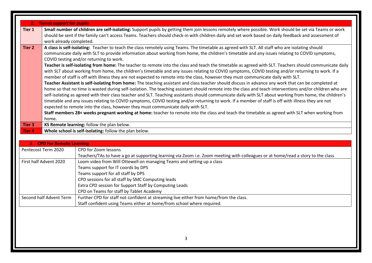|               | 2. Tiered support for pupils                                                                                                                                                                                                                                                                                                              |                                                                                                                                                                                                                                                                                                                                                                                                                                                                                                                                                                                                                                                                                                                                                                                                                                                                                                                                                                                                                                                                                                                                                                                                                                                                                                                                                                                                                                                                                                                                                                                                                                                                                  |  |  |  |  |  |  |
|---------------|-------------------------------------------------------------------------------------------------------------------------------------------------------------------------------------------------------------------------------------------------------------------------------------------------------------------------------------------|----------------------------------------------------------------------------------------------------------------------------------------------------------------------------------------------------------------------------------------------------------------------------------------------------------------------------------------------------------------------------------------------------------------------------------------------------------------------------------------------------------------------------------------------------------------------------------------------------------------------------------------------------------------------------------------------------------------------------------------------------------------------------------------------------------------------------------------------------------------------------------------------------------------------------------------------------------------------------------------------------------------------------------------------------------------------------------------------------------------------------------------------------------------------------------------------------------------------------------------------------------------------------------------------------------------------------------------------------------------------------------------------------------------------------------------------------------------------------------------------------------------------------------------------------------------------------------------------------------------------------------------------------------------------------------|--|--|--|--|--|--|
| Tier 1        | Small number of children are self-isolating: Support pupils by getting them join lessons remotely where possible. Work should be set via Teams or work<br>should be sent if the family can't access Teams. Teachers should check-in with children daily and set work based on daily feedback and assessment of<br>work already completed. |                                                                                                                                                                                                                                                                                                                                                                                                                                                                                                                                                                                                                                                                                                                                                                                                                                                                                                                                                                                                                                                                                                                                                                                                                                                                                                                                                                                                                                                                                                                                                                                                                                                                                  |  |  |  |  |  |  |
| <b>Tier 2</b> |                                                                                                                                                                                                                                                                                                                                           | A class is self-isolating: Teacher to teach the class remotely using Teams. The timetable as agreed with SLT. All staff who are isolating should<br>communicate daily with SLT to provide information about working from home, the children's timetable and any issues relating to COVID symptoms,<br>COVID testing and/or returning to work.<br>Teacher is self-isolating from home: The teacher to remote into the class and teach the timetable as agreed with SLT. Teachers should communicate daily<br>with SLT about working from home, the children's timetable and any issues relating to COVID symptoms, COVID testing and/or returning to work. If a<br>member of staff is off with illness they are not expected to remote into the class, however they must communicate daily with SLT.<br>Teacher Assistant is self-isolating from home: The teaching assistant and class teacher should discuss in advance any work that can be completed at<br>home so that no time is wasted during self-isolation. The teaching assistant should remote into the class and teach interventions and/or children who are<br>self-isolating as agreed with their class teacher and SLT. Teaching assistants should communicate daily with SLT about working from home, the children's<br>timetable and any issues relating to COVID symptoms, COVID testing and/or returning to work. If a member of staff is off with illness they are not<br>expected to remote into the class, however they must communicate daily with SLT.<br>Staff members 28+ weeks pregnant working at home: teacher to remote into the class and teach the timetable as agreed with SLT when working from |  |  |  |  |  |  |
|               | home.                                                                                                                                                                                                                                                                                                                                     |                                                                                                                                                                                                                                                                                                                                                                                                                                                                                                                                                                                                                                                                                                                                                                                                                                                                                                                                                                                                                                                                                                                                                                                                                                                                                                                                                                                                                                                                                                                                                                                                                                                                                  |  |  |  |  |  |  |
| Tier 3        |                                                                                                                                                                                                                                                                                                                                           | KS Remote learning: follow the plan below.                                                                                                                                                                                                                                                                                                                                                                                                                                                                                                                                                                                                                                                                                                                                                                                                                                                                                                                                                                                                                                                                                                                                                                                                                                                                                                                                                                                                                                                                                                                                                                                                                                       |  |  |  |  |  |  |
| <b>Tier 4</b> |                                                                                                                                                                                                                                                                                                                                           | Whole school is self-isolating: follow the plan below.                                                                                                                                                                                                                                                                                                                                                                                                                                                                                                                                                                                                                                                                                                                                                                                                                                                                                                                                                                                                                                                                                                                                                                                                                                                                                                                                                                                                                                                                                                                                                                                                                           |  |  |  |  |  |  |
|               |                                                                                                                                                                                                                                                                                                                                           |                                                                                                                                                                                                                                                                                                                                                                                                                                                                                                                                                                                                                                                                                                                                                                                                                                                                                                                                                                                                                                                                                                                                                                                                                                                                                                                                                                                                                                                                                                                                                                                                                                                                                  |  |  |  |  |  |  |
|               | 3. CPD For Remote Learning                                                                                                                                                                                                                                                                                                                |                                                                                                                                                                                                                                                                                                                                                                                                                                                                                                                                                                                                                                                                                                                                                                                                                                                                                                                                                                                                                                                                                                                                                                                                                                                                                                                                                                                                                                                                                                                                                                                                                                                                                  |  |  |  |  |  |  |
|               | Pentecost Term 2020                                                                                                                                                                                                                                                                                                                       | CPD for Zoom lessons<br>Teachers/TAs to have a go at supporting learning via Zoom i.e. Zoom meeting with colleagues or at home/read a story to the class                                                                                                                                                                                                                                                                                                                                                                                                                                                                                                                                                                                                                                                                                                                                                                                                                                                                                                                                                                                                                                                                                                                                                                                                                                                                                                                                                                                                                                                                                                                         |  |  |  |  |  |  |
|               | First half Advent 2020                                                                                                                                                                                                                                                                                                                    | Loom video from Will Ottewell on managing Teams and setting up a class                                                                                                                                                                                                                                                                                                                                                                                                                                                                                                                                                                                                                                                                                                                                                                                                                                                                                                                                                                                                                                                                                                                                                                                                                                                                                                                                                                                                                                                                                                                                                                                                           |  |  |  |  |  |  |
|               |                                                                                                                                                                                                                                                                                                                                           | Teams support for IT coords by DPS                                                                                                                                                                                                                                                                                                                                                                                                                                                                                                                                                                                                                                                                                                                                                                                                                                                                                                                                                                                                                                                                                                                                                                                                                                                                                                                                                                                                                                                                                                                                                                                                                                               |  |  |  |  |  |  |
|               |                                                                                                                                                                                                                                                                                                                                           | Teams support for all staff by DPS                                                                                                                                                                                                                                                                                                                                                                                                                                                                                                                                                                                                                                                                                                                                                                                                                                                                                                                                                                                                                                                                                                                                                                                                                                                                                                                                                                                                                                                                                                                                                                                                                                               |  |  |  |  |  |  |
|               |                                                                                                                                                                                                                                                                                                                                           | CPD sessions for all staff by SMC Computing leads                                                                                                                                                                                                                                                                                                                                                                                                                                                                                                                                                                                                                                                                                                                                                                                                                                                                                                                                                                                                                                                                                                                                                                                                                                                                                                                                                                                                                                                                                                                                                                                                                                |  |  |  |  |  |  |
|               |                                                                                                                                                                                                                                                                                                                                           | Extra CPD session for Support Staff by Computing Leads                                                                                                                                                                                                                                                                                                                                                                                                                                                                                                                                                                                                                                                                                                                                                                                                                                                                                                                                                                                                                                                                                                                                                                                                                                                                                                                                                                                                                                                                                                                                                                                                                           |  |  |  |  |  |  |
|               | Second half Advent Term                                                                                                                                                                                                                                                                                                                   | CPD on Teams for staff by Tablet Academy                                                                                                                                                                                                                                                                                                                                                                                                                                                                                                                                                                                                                                                                                                                                                                                                                                                                                                                                                                                                                                                                                                                                                                                                                                                                                                                                                                                                                                                                                                                                                                                                                                         |  |  |  |  |  |  |
|               |                                                                                                                                                                                                                                                                                                                                           | Further CPD for staff not confident at streaming live either from home/from the class.                                                                                                                                                                                                                                                                                                                                                                                                                                                                                                                                                                                                                                                                                                                                                                                                                                                                                                                                                                                                                                                                                                                                                                                                                                                                                                                                                                                                                                                                                                                                                                                           |  |  |  |  |  |  |

Staff confident using Teams either at home/from school where required.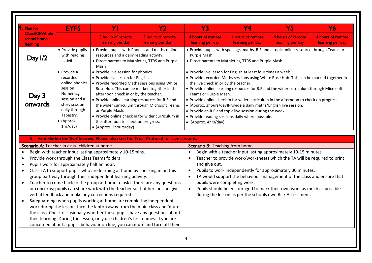| $\mathsf A.$ Plan for                                                      | <b>EYFS</b>                                                                                                                                                                 | Y                                                                                                                                                                                                                                                                                                                                                                                                                                                                                                                                                                                                                                                                                                                                                                                                                                 | $\mathsf{Y}2$                         | <b>Y3</b>                                                                                     | <b>Y4</b>                                                                                                                                                                                                                                                                                                                                                                                                                                                                                                                       | <b>Y5</b>                             | Y6                                    |
|----------------------------------------------------------------------------|-----------------------------------------------------------------------------------------------------------------------------------------------------------------------------|-----------------------------------------------------------------------------------------------------------------------------------------------------------------------------------------------------------------------------------------------------------------------------------------------------------------------------------------------------------------------------------------------------------------------------------------------------------------------------------------------------------------------------------------------------------------------------------------------------------------------------------------------------------------------------------------------------------------------------------------------------------------------------------------------------------------------------------|---------------------------------------|-----------------------------------------------------------------------------------------------|---------------------------------------------------------------------------------------------------------------------------------------------------------------------------------------------------------------------------------------------------------------------------------------------------------------------------------------------------------------------------------------------------------------------------------------------------------------------------------------------------------------------------------|---------------------------------------|---------------------------------------|
| <b>Class/KS/Whole</b><br>school home<br>learning                           |                                                                                                                                                                             | 3 hours of remote<br>learning per day                                                                                                                                                                                                                                                                                                                                                                                                                                                                                                                                                                                                                                                                                                                                                                                             | 3 hours of remote<br>learning per day | 4 hours of remote<br>learning per day                                                         | 4 hours of remote<br>learning per day                                                                                                                                                                                                                                                                                                                                                                                                                                                                                           | 4 hours of remote<br>learning per day | 4 hours of remote<br>learning per day |
| Day $1/2$                                                                  | • Provide pupils<br>with reading<br>activities                                                                                                                              | • Provide pupils with Phonics and maths online<br>resources and a daily reading activity.<br>• Direct parents to Mathletics, TTRS and Purple<br>Mash                                                                                                                                                                                                                                                                                                                                                                                                                                                                                                                                                                                                                                                                              |                                       | Purple Mash                                                                                   | • Provide pupils with spellings, maths, R.E and a topic online resource through Teams or<br>• Direct parents to Mathletics, TTRS and Purple Mash.                                                                                                                                                                                                                                                                                                                                                                               |                                       |                                       |
| Day 3<br>onwards                                                           | $\bullet$ Provide a<br>recorded<br>online phonics<br>session,<br>Numeracy<br>session and a<br>story session<br>daily through<br>Tapestry.<br>$\bullet$ (Approx.<br>1hr/day) | • Provide live session for phonics.<br>• Provide live lesson for English.<br>• Provide recorded Maths sessions using White<br>Rose Hub. This can be marked together in the<br>afternoon check in or by the teacher.<br>• Provide online learning resources for R.E and<br>the wider curriculum through Microsoft Teams<br>or Purple Mash.<br>• Provide online check in for wider curriculum in<br>the afternoon to check on progress.<br>• (Approx. 3hours/day)                                                                                                                                                                                                                                                                                                                                                                   |                                       | the live check in or by the teacher.<br>Teams or Purple Mash.<br>$\bullet$ (Approx. 4hrs/day) | • Provide live lesson for English at least four times a week.<br>• Provide recorded Maths sessions using White Rose Hub. This can be marked together in<br>• Provide online learning resources for R.E and the wider curriculum through Microsoft<br>• Provide online check in for wider curriculum in the afternoon to check on progress.<br>• (Approx. 3hours/day)Provide a daily maths/English live session.<br>• Provide an R.E and topic live session during the week.<br>• Provide reading sessions daily where possible. |                                       |                                       |
|                                                                            |                                                                                                                                                                             | 5. Expectation for 'live' lessons. Please also see the Trust Protocol for Live Lessons.                                                                                                                                                                                                                                                                                                                                                                                                                                                                                                                                                                                                                                                                                                                                           |                                       |                                                                                               |                                                                                                                                                                                                                                                                                                                                                                                                                                                                                                                                 |                                       |                                       |
|                                                                            | Scenario A: Teacher in class, children at home                                                                                                                              |                                                                                                                                                                                                                                                                                                                                                                                                                                                                                                                                                                                                                                                                                                                                                                                                                                   |                                       | Scenario B: Teaching from home                                                                |                                                                                                                                                                                                                                                                                                                                                                                                                                                                                                                                 |                                       |                                       |
| $\bullet$<br>$\bullet$<br>$\bullet$<br>$\bullet$<br>$\bullet$<br>$\bullet$ | Provide work through the Class Teams folders<br>Pupils work for approximately half an hour.                                                                                 | Begin with teacher input lasting approximately 10-15mins.<br>Class TA to support pupils who are learning at home by checking in on this<br>group part way through their independent learning activity.<br>Teacher to come back to the group at home to ask if there are any questions<br>or concerns; pupils can share work with the teacher so that he/she can give<br>verbal feedback and make any corrections required.<br>Safeguarding: when pupils working at home are completing independent<br>work during the lesson, face the laptop away from the main class and 'mute'<br>the class. Check occasionally whether these pupils have any questions about<br>their learning. During the lesson, only use children's first names. If you are<br>concerned about a pupils behaviour on line, you can mute and turn off their |                                       | $\bullet$<br>$\bullet$<br>and give out.<br>$\bullet$<br>$\bullet$<br>$\bullet$                | Begin with a teacher input lasting approximately 10-15 minutes.<br>Teacher to provide work/worksheets which the TA will be required to print<br>Pupils to work independently for approximately 30 minutes.<br>TA would support the behaviour management of the class and ensure that<br>pupils were completing work.<br>Pupils should be encouraged to mark their own work as much as possible<br>during the lesson as per the schools own Risk Assessment.                                                                     |                                       |                                       |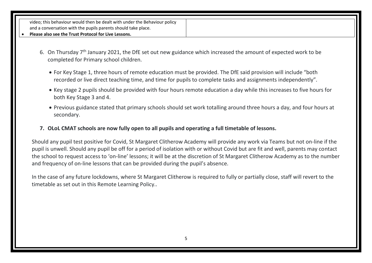video; this behaviour would then be dealt with under the Behaviour policy and a conversation with the pupils parents should take place.

#### **Please also see the Trust Protocol for Live Lessons.**

- 6. On Thursday  $7<sup>th</sup>$  January 2021, the DfE set out new guidance which increased the amount of expected work to be completed for Primary school children.
	- For Key Stage 1, three hours of remote education must be provided. The DfE said provision will include "both recorded or live direct teaching time, and time for pupils to complete tasks and assignments independently".
	- Key stage 2 pupils should be provided with four hours remote education a day while this increases to five hours for both Key Stage 3 and 4.
	- Previous guidance stated that primary schools should set work totalling around three hours a day, and four hours at secondary.
- **7. OLoL CMAT schools are now fully open to all pupils and operating a full timetable of lessons.**

Should any pupil test positive for Covid, St Margaret Clitherow Academy will provide any work via Teams but not on-line if the pupil is unwell. Should any pupil be off for a period of isolation with or without Covid but are fit and well, parents may contact the school to request access to 'on-line' lessons; it will be at the discretion of St Margaret Clitherow Academy as to the number and frequency of on-line lessons that can be provided during the pupil's absence.

In the case of any future lockdowns, where St Margaret Clitherow is required to fully or partially close, staff will revert to the timetable as set out in this Remote Learning Policy..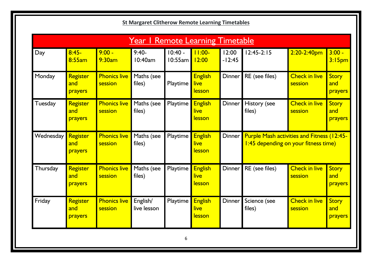|                |                            |                                | <u>Year I Remote Learning Timetable</u> |                      |                                         |                     |                        |                                                                                           |                                |
|----------------|----------------------------|--------------------------------|-----------------------------------------|----------------------|-----------------------------------------|---------------------|------------------------|-------------------------------------------------------------------------------------------|--------------------------------|
| Day            | $8:45-$<br>8:55am          | $9:00 -$<br>9:30am             | $9:40-$<br>10:40am                      | $10:40 -$<br>10:55am | $11:00-$<br>12:00                       | 12:00<br>$-12:45$   | $12:45-2:15$           | $2:20-2:40$ pm                                                                            | $3:00 -$<br>3:15 <sub>pm</sub> |
| Monday         | Register<br>and<br>prayers | <b>Phonics live</b><br>session | Maths (see<br>files)                    | Playtime             | <b>English</b><br>live<br><u>lesson</u> | Dinner              | RE (see files)         | <b>Check in live</b><br>session                                                           | Story<br>and<br>prayers        |
| <b>Tuesday</b> | Register<br>and<br>prayers | <b>Phonics live</b><br>session | Maths (see<br>files)                    | Playtime             | <b>English</b><br>live<br><u>lesson</u> | <b>Dinner</b>       | History (see<br>files) | <b>Check in live</b><br>session                                                           | Story<br>and<br>prayers        |
| Wednesday      | Register<br>and<br>prayers | <b>Phonics live</b><br>session | Maths (see<br>files)                    | Playtime             | <b>English</b><br>live<br><u>lesson</u> | Dinner <sup>1</sup> |                        | <b>Purple Mash activities and Fitness (12:45-</b><br>1:45 depending on your fitness time) |                                |
| Thursday       | Register<br>and<br>prayers | <b>Phonics live</b><br>session | Maths (see<br>files)                    | Playtime             | <b>English</b><br>live<br><b>lesson</b> | Dinner              | RE (see files)         | <b>Check in live</b><br>session                                                           | <b>Story</b><br>and<br>prayers |
| Friday         | Register<br>and<br>prayers | <b>Phonics live</b><br>session | English/<br>live lesson                 | Playtime             | <b>English</b><br>live<br><u>lesson</u> | Dinner              | Science (see<br>files) | <b>Check in live</b><br>session                                                           | Story<br>and<br>prayers        |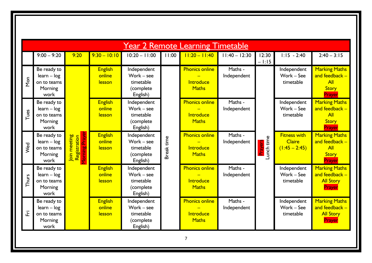|       | <b>Year 2 Remote Learning Timetable</b>                        |                                                          |                                    |                                                                 |            |                                                           |                        |                           |                                                         |                                                                                  |  |  |  |
|-------|----------------------------------------------------------------|----------------------------------------------------------|------------------------------------|-----------------------------------------------------------------|------------|-----------------------------------------------------------|------------------------|---------------------------|---------------------------------------------------------|----------------------------------------------------------------------------------|--|--|--|
|       | $9:00 - 9:20$                                                  | 9:20                                                     | $9:30 - 10:10$                     | $10:20 - 11:00$                                                 | 11:00      | $11:20 - 11:40$                                           | $11:40 - 12:30$        | 12:30<br>$-1:15$          | $1:15 - 2:40$                                           | $2:40 - 3:15$                                                                    |  |  |  |
| Mon   | Be ready to<br>$learn - log$<br>on to teams<br>Morning<br>work |                                                          | <b>English</b><br>online<br>lesson | Independent<br>Work - see<br>timetable<br>(complete<br>English) |            | <b>Phonics online</b><br>Introduce<br><b>Maths</b>        | Maths -<br>Independent |                           | Independent<br>Work - See<br>timetable                  | <b>Marking Maths</b><br>and feedback $-$<br><b>All</b><br><b>Story</b><br>Prayer |  |  |  |
| Tues  | Be ready to<br>$learn - log$<br>on to teams<br>Morning<br>work |                                                          | <b>English</b><br>online<br>lesson | Independent<br>Work - see<br>timetable<br>(complete<br>English) |            | <b>Phonics online</b><br>Introduce<br><b>Maths</b>        | Maths -<br>Independent |                           | Independent<br>Work - See<br>timetable                  | <b>Marking Maths</b><br>and feedback -<br>All<br><b>Story</b><br>Prayer          |  |  |  |
| Wed   | Be ready to<br>$learn - log$<br>on to teams<br>Morning<br>work | <b>Prayer</b><br>Registration<br>Join meeting<br>Morning | <b>English</b><br>online<br>lesson | Independent<br>Work - see<br>timetable<br>(complete<br>English) | 3reak time | <b>Phonics online</b><br><b>Introduce</b><br><b>Maths</b> | Maths -<br>Independent | Lunch time<br><u>yez,</u> | <b>Fitness with</b><br><b>Claire</b><br>$(1:45 - 2:45)$ | <b>Marking Maths</b><br>and feedback $-$<br>All<br><b>Story</b><br>Prayer        |  |  |  |
| Thurs | Be ready to<br>$learn - log$<br>on to teams<br>Morning<br>work |                                                          | <b>English</b><br>online<br>lesson | Independent<br>Work - see<br>timetable<br>(complete<br>English) |            | <b>Phonics online</b><br><b>Introduce</b><br><b>Maths</b> | Maths -<br>Independent |                           | Independent<br>Work - See<br>timetable                  | <b>Marking Maths</b><br>and feedback $-$<br><b>All Story</b><br>Prayer           |  |  |  |
| 正     | Be ready to<br>$learn - log$<br>on to teams<br>Morning<br>work |                                                          | <b>English</b><br>online<br>lesson | Independent<br>Work - see<br>timetable<br>(complete<br>English) |            | <b>Phonics online</b><br>Introduce<br><b>Maths</b>        | Maths -<br>Independent |                           | Independent<br>Work - See<br>timetable                  | <b>Marking Maths</b><br>and feedback $-$<br><b>All Story</b><br>Prayer           |  |  |  |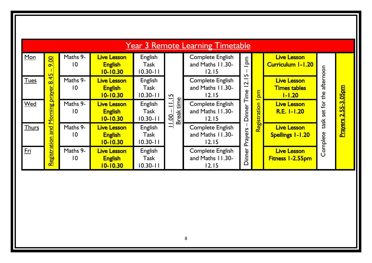|              | <b>Year 3 Remote Learning Timetable</b> |                             |                                                      |                                        |                              |                                                        |                                        |              |                                                         |                  |                         |  |  |  |
|--------------|-----------------------------------------|-----------------------------|------------------------------------------------------|----------------------------------------|------------------------------|--------------------------------------------------------|----------------------------------------|--------------|---------------------------------------------------------|------------------|-------------------------|--|--|--|
| Mon          | <b>9.00</b>                             | Maths 9-<br>10              | <b>Live Lesson</b><br><b>English</b><br>10-10.30     | <b>English</b><br>Task<br>$10.30 - 11$ |                              | Complete English<br>and Maths 11.30-<br>12.15          | $\mathsf{P}_{\mathsf{D}}$              |              | <b>Live Lesson</b><br><b>Curriculum 1-1.20</b>          |                  |                         |  |  |  |
| <b>Tues</b>  | 8.45                                    | Maths 9-<br>10              | <b>Live Lesson</b><br><b>English</b><br>$10 - 10.30$ | <b>English</b><br>Task<br>$10.30 - 11$ | $\overline{15}$              | <b>Complete English</b><br>and Maths 11.30-<br>12.15   | ഹ<br>—<br>$\overline{\mathbf{r}}$<br>— | ma           | <b>Live Lesson</b><br><b>Times tables</b><br>$1 - 1.20$ | afternoon<br>the | <u>55-3.05pm</u>        |  |  |  |
| Wed          | Morning prayer                          | Maths 9-<br>10              | <b>Live Lesson</b><br><b>English</b><br>$10 - 10.30$ | <b>English</b><br>Task<br>$10.30 - 11$ | Break time<br>$\equiv$<br>00 | <b>Complete English</b><br>and Maths 11.30-<br>12.15   | Dinner Time                            | Registration | <b>Live Lesson</b><br><b>R.E. I-I.20</b>                | set for          | $\overline{\mathbf{c}}$ |  |  |  |
| <b>Thurs</b> | and                                     | Maths 9-<br>10              | <b>Live Lesson</b><br><b>English</b><br>10-10.30     | <b>English</b><br>Task<br>$10.30 - 11$ | $\equiv$                     | <b>Complete English</b><br>and Maths 11.30-<br>12.15   | Prayers                                |              | <b>Live Lesson</b><br><b>Spellings I-1.20</b>           | task<br>Complete | <b>Prayers</b>          |  |  |  |
| <u>Fri</u>   | <u>Registration</u>                     | Maths 9-<br>$\overline{10}$ | <b>Live Lesson</b><br><b>English</b><br>10-10.30     | English<br><b>Task</b><br>$10.30 - 11$ |                              | <b>Complete English</b><br>and Maths 11.30-<br>$12.15$ | Dinner                                 |              | <b>Live Lesson</b><br>Fitness 1-2.55pm                  |                  |                         |  |  |  |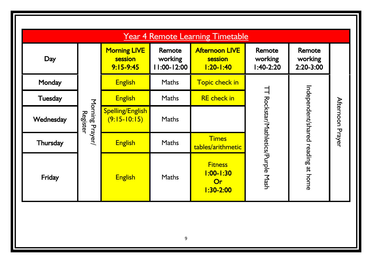| <b>Year 4 Remote Learning Timetable</b> |                                    |                                                 |                                  |                                                         |                                           |                                         |                  |  |  |  |  |  |  |  |
|-----------------------------------------|------------------------------------|-------------------------------------------------|----------------------------------|---------------------------------------------------------|-------------------------------------------|-----------------------------------------|------------------|--|--|--|--|--|--|--|
| Day                                     |                                    | <b>Morning LIVE</b><br>session<br>$9:15 - 9:45$ | Remote<br>working<br>11:00-12:00 | <b>Afternoon LIVE</b><br>session<br><u>1:20-1:40</u>    | <b>Remote</b><br>working<br>$1:40-2:20$   | <b>Remote</b><br>working<br>$2:20-3:00$ |                  |  |  |  |  |  |  |  |
| Monday                                  |                                    | <b>English</b>                                  | <b>Maths</b>                     | Topic check in                                          |                                           |                                         |                  |  |  |  |  |  |  |  |
| <b>Tuesday</b>                          |                                    | <b>English</b>                                  | <b>Maths</b>                     | <b>RE</b> check in                                      |                                           |                                         |                  |  |  |  |  |  |  |  |
| Wednesday                               | Morning Prayer/<br><b>Register</b> | <b>Spelling/English</b><br>$(9:15-10:15)$       | <b>Maths</b>                     |                                                         | <b>TT Rockstar/Mathletics/Purple Mash</b> |                                         | Afternoon Prayer |  |  |  |  |  |  |  |
| Thursday                                |                                    | <b>English</b>                                  | <b>Maths</b>                     | <b>Times</b><br>tables/arithmetic                       |                                           |                                         |                  |  |  |  |  |  |  |  |
| Friday                                  |                                    | <b>English</b>                                  | <b>Maths</b>                     | <b>Fitness</b><br><u>1:00-1:30</u><br>Or<br>$1:30-2:00$ |                                           | Independent/shared reading at home      |                  |  |  |  |  |  |  |  |
|                                         |                                    |                                                 |                                  |                                                         |                                           |                                         |                  |  |  |  |  |  |  |  |
|                                         |                                    |                                                 | 9                                |                                                         |                                           |                                         |                  |  |  |  |  |  |  |  |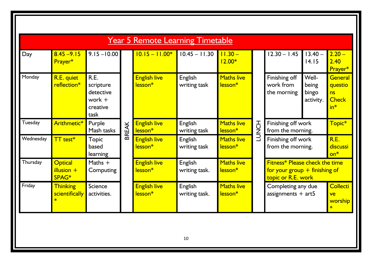| Day       | $8.45 - 9.15$<br>Prayer*                | $9.15 - 10.00$                                                 |             | $10.15 - 11.00*$                           | $10.45 - 11.30$                | $11.30 -$<br>$12.00*$                    |                                           | $12.30 - 1.45$                                                                          | $13.40 -$<br>14.15                   | $2.20 -$<br>2.40<br>Prayer*                       |
|-----------|-----------------------------------------|----------------------------------------------------------------|-------------|--------------------------------------------|--------------------------------|------------------------------------------|-------------------------------------------|-----------------------------------------------------------------------------------------|--------------------------------------|---------------------------------------------------|
| Monday    | R.E. quiet<br>reflection*               | R.E.<br>scripture<br>detective<br>work $+$<br>creative<br>task |             | <b>English live</b><br>lesson <sup>*</sup> | English<br>writing task        | <b>Maths live</b><br>lesson <sup>*</sup> | Finishing off<br>work from<br>the morning |                                                                                         | Well-<br>being<br>bingo<br>activity. | General<br>questio<br>ns<br><b>Check</b><br>$in*$ |
| Tuesday   | Arithmetic*                             | Purple<br>Mash tasks                                           | <b>REAK</b> | <b>English live</b><br>lesson <sup>*</sup> | <b>English</b><br>writing task | <b>Maths live</b><br>lesson <sup>*</sup> | <b>LUNCH</b>                              | Finishing off work<br>from the morning.                                                 |                                      | Topic*                                            |
| Wednesday | $TT$ test $*$                           | <b>Topic</b><br>based<br>learning                              | ᅙ           | <b>English live</b><br>lesson <sup>*</sup> | English<br>writing task        | <b>Maths live</b><br>lesson <sup>*</sup> |                                           | Finishing off work<br>from the morning.                                                 |                                      | R.E.<br>discussi<br>$on*$                         |
| Thursday  | <b>Optical</b><br>$illusion +$<br>SPAG* | Maths $+$<br>Computing                                         |             | <b>English live</b><br>lesson <sup>*</sup> | English<br>writing task.       | <b>Maths live</b><br>lesson <sup>*</sup> |                                           | Fitness* Please check the time<br>for your group $+$ finishing of<br>topic or R.E. work |                                      |                                                   |
| Friday    | <b>Thinking</b><br>scientifically       | Science<br>activities.                                         |             | <b>English live</b><br>lesson <sup>*</sup> | English<br>writing task.       | <b>Maths live</b><br>lesson <sup>*</sup> |                                           | Completing any due<br>assignments $+$ art5                                              |                                      | <b>Collecti</b><br>ve<br>worship                  |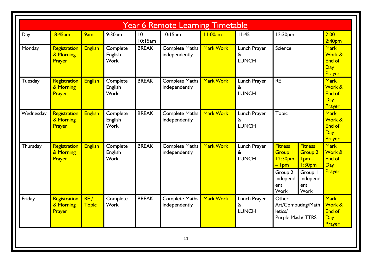|           |                                     |                     |                                    |                   | <b>Year 6 Remote Learning Timetable</b> |                  |                                                       |                                                                                                                            |                                                                                                                |                                                  |
|-----------|-------------------------------------|---------------------|------------------------------------|-------------------|-----------------------------------------|------------------|-------------------------------------------------------|----------------------------------------------------------------------------------------------------------------------------|----------------------------------------------------------------------------------------------------------------|--------------------------------------------------|
| Day       | 8:45am                              | 9am                 | 9:30am                             | $10 -$<br>10:15am | 10:15am                                 | 11:00am          | 11:45                                                 | 12:30pm                                                                                                                    |                                                                                                                | $2:00 -$<br>2:40 <sub>pm</sub>                   |
| Monday    | Registration<br>& Morning<br>Prayer | <b>English</b>      | Complete<br>English<br><b>Work</b> | <b>BREAK</b>      | <b>Complete Maths</b><br>independently  | Mark Work        | Lunch Prayer<br>&<br><b>LUNCH</b>                     | Science                                                                                                                    |                                                                                                                | <b>Mark</b><br>Work &<br>End of<br>Day<br>Prayer |
| Tuesday   | Registration<br>& Morning<br>Prayer | <b>English</b>      | Complete<br>English<br><b>Work</b> | <b>BREAK</b>      | <b>Complete Maths</b><br>independently  | Mark Work        | Lunch Prayer<br>&<br><b>LUNCH</b>                     | <b>RE</b>                                                                                                                  |                                                                                                                | <b>Mark</b><br>Work &<br>End of<br>Day<br>Prayer |
| Wednesday | Registration<br>& Morning<br>Prayer | <b>English</b>      | Complete<br>English<br><b>Work</b> | <b>BREAK</b>      | <b>Complete Maths</b><br>independently  | <b>Mark Work</b> | Lunch Prayer<br>$\boldsymbol{8}$<br><b>LUNCH</b>      | <b>Topic</b>                                                                                                               |                                                                                                                | <b>Mark</b><br>Work &<br>End of<br>Day<br>Prayer |
| Thursday  | Registration<br>& Morning<br>Prayer | <b>English</b>      | Complete<br>English<br><b>Work</b> | <b>BREAK</b>      | <b>Complete Maths</b><br>independently  | Mark Work        | Lunch Prayer<br>&<br><b>LUNCH</b>                     | <b>Fitness</b><br><b>Group I</b><br>12:30 <sub>pm</sub><br><mark>– Ipm</mark><br>Group 2<br>Independ<br>ent<br><b>Work</b> | <b>Fitness</b><br><b>Group 2</b><br>$lpm -$<br>l:30 <sub>pm</sub><br>Group I<br>Independ<br>ent<br><b>Work</b> | <b>Mark</b><br>Work &<br>End of<br>Day<br>Prayer |
| Friday    | Registration<br>& Morning<br>Prayer | RE/<br><b>Topic</b> | Complete<br><b>Work</b>            | <b>BREAK</b>      | <b>Complete Maths</b><br>independently  | Mark Work        | Lunch Prayer<br>$\boldsymbol{\alpha}$<br><b>LUNCH</b> | Other<br>Art/Computing/Math<br>letics/<br>Purple Mash/TTRS                                                                 |                                                                                                                | <b>Mark</b><br>Work &<br>End of<br>Day<br>Prayer |
|           |                                     |                     |                                    |                   | 11                                      |                  |                                                       |                                                                                                                            |                                                                                                                |                                                  |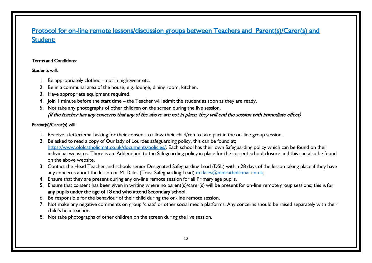## Protocol for on-line remote lessons/discussion groups between Teachers and Parent(s)/Carer(s) and Student;

#### Terms and Conditions:

#### Students will:

- 1. Be appropriately clothed not in nightwear etc.
- 2. Be in a communal area of the house, e.g. lounge, dining room, kitchen.
- 3. Have appropriate equipment required.
- 4. Join 1 minute before the start time the Teacher will admit the student as soon as they are ready.
- 5. Not take any photographs of other children on the screen during the live session. (If the teacher has any concerns that any of the above are not in place, they will end the session with immediate effect)

#### Parent(s)/Carer(s) will:

- 1. Receive a letter/email asking for their consent to allow their child/ren to take part in the on-line group session.
- 2. Be asked to read a copy of Our lady of Lourdes safeguarding policy, this can be found at; [https://www.ololcatholicmat.co.uk/documents/policies/.](https://www.ololcatholicmat.co.uk/documents/policies/) Each school has their own Safeguarding policy which can be found on their individual websites. There is an 'Addendum' to the Safeguarding policy in place for the current school closure and this can also be found on the above website.
- 3. Contact the Head Teacher and schools senior Designated Safeguarding Lead (DSL) within 28 days of the lesson taking place if they have any concerns about the lesson or M. Dales (Trust Safeguarding Lead) [m.dales@ololcatholicmat.co.uk](mailto:m.dales@ololcatholicmat.co.uk)
- 4. Ensure that they are present during any on-line remote session for all Primary age pupils.
- 5. Ensure that consent has been given in writing where no parent(s)/carer(s) will be present for on-line remote group sessions; this is for any pupils under the age of 18 and who attend Secondary school.
- 6. Be responsible for the behaviour of their child during the on-line remote session.
- 7. Not make any negative comments on group 'chats' or other social media platforms. Any concerns should be raised separately with their child's headteacher.
- 8. Not take photographs of other children on the screen during the live session.